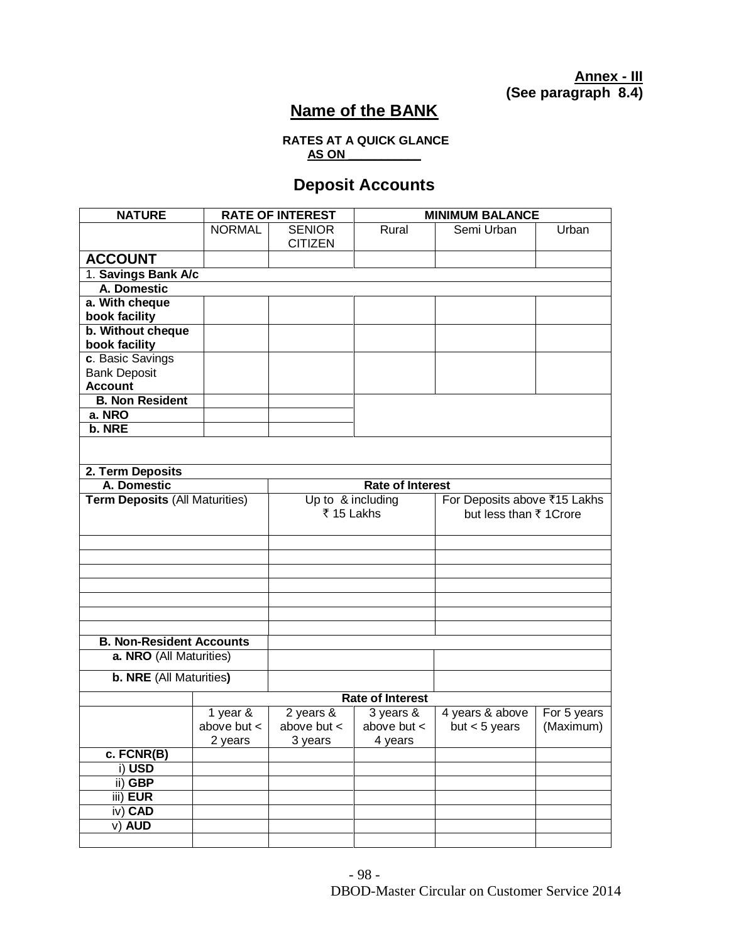**Annex - III Property (See paragraph 8.4)** 

## **Name of the BANK**

## **RATES AT A QUICK GLANCE AS ON \_\_\_\_\_\_\_\_\_\_\_**

## **Deposit Accounts**

| <b>NATURE</b>                         |                         | <b>RATE OF INTEREST</b> | <b>MINIMUM BALANCE</b>  |                              |             |  |  |  |
|---------------------------------------|-------------------------|-------------------------|-------------------------|------------------------------|-------------|--|--|--|
|                                       | <b>NORMAL</b>           | <b>SENIOR</b>           | Rural                   | Semi Urban                   | Urban       |  |  |  |
|                                       |                         | <b>CITIZEN</b>          |                         |                              |             |  |  |  |
| <b>ACCOUNT</b>                        |                         |                         |                         |                              |             |  |  |  |
| 1. Savings Bank A/c                   |                         |                         |                         |                              |             |  |  |  |
| A. Domestic                           |                         |                         |                         |                              |             |  |  |  |
| a. With cheque                        |                         |                         |                         |                              |             |  |  |  |
| book facility                         |                         |                         |                         |                              |             |  |  |  |
| b. Without cheque<br>book facility    |                         |                         |                         |                              |             |  |  |  |
| c. Basic Savings                      |                         |                         |                         |                              |             |  |  |  |
| <b>Bank Deposit</b>                   |                         |                         |                         |                              |             |  |  |  |
| <b>Account</b>                        |                         |                         |                         |                              |             |  |  |  |
| <b>B. Non Resident</b>                |                         |                         |                         |                              |             |  |  |  |
| a. NRO                                |                         |                         |                         |                              |             |  |  |  |
| b. NRE                                |                         |                         |                         |                              |             |  |  |  |
|                                       |                         |                         |                         |                              |             |  |  |  |
| 2. Term Deposits                      |                         |                         |                         |                              |             |  |  |  |
| A. Domestic                           |                         |                         | <b>Rate of Interest</b> |                              |             |  |  |  |
| <b>Term Deposits (All Maturities)</b> |                         | Up to & including       |                         | For Deposits above ₹15 Lakhs |             |  |  |  |
|                                       |                         | ₹ 15 Lakhs              |                         | but less than ₹ 1 Crore      |             |  |  |  |
|                                       |                         |                         |                         |                              |             |  |  |  |
|                                       |                         |                         |                         |                              |             |  |  |  |
|                                       |                         |                         |                         |                              |             |  |  |  |
|                                       |                         |                         |                         |                              |             |  |  |  |
|                                       |                         |                         |                         |                              |             |  |  |  |
|                                       |                         |                         |                         |                              |             |  |  |  |
|                                       |                         |                         |                         |                              |             |  |  |  |
| <b>B. Non-Resident Accounts</b>       |                         |                         |                         |                              |             |  |  |  |
| a. NRO (All Maturities)               |                         |                         |                         |                              |             |  |  |  |
| <b>b. NRE (All Maturities)</b>        |                         |                         |                         |                              |             |  |  |  |
|                                       | <b>Rate of Interest</b> |                         |                         |                              |             |  |  |  |
|                                       | 1 year &                | 2 years $\overline{\&}$ | 3 years &               | 4 years & above              | For 5 years |  |  |  |
|                                       | above but $<$           | above but $\lt$         | above but $\lt$         | but $<$ 5 years              | (Maximum)   |  |  |  |
|                                       | 2 years                 | 3 years                 | 4 years                 |                              |             |  |  |  |
| $c.$ FCNR(B)                          |                         |                         |                         |                              |             |  |  |  |
| i) USD<br>ii) GBP                     |                         |                         |                         |                              |             |  |  |  |
| iii) EUR                              |                         |                         |                         |                              |             |  |  |  |
| iv) CAD                               |                         |                         |                         |                              |             |  |  |  |
| $V)$ AUD                              |                         |                         |                         |                              |             |  |  |  |
|                                       |                         |                         |                         |                              |             |  |  |  |
|                                       |                         |                         |                         |                              |             |  |  |  |

DBOD-Master Circular on Customer Service 2014 - 98 -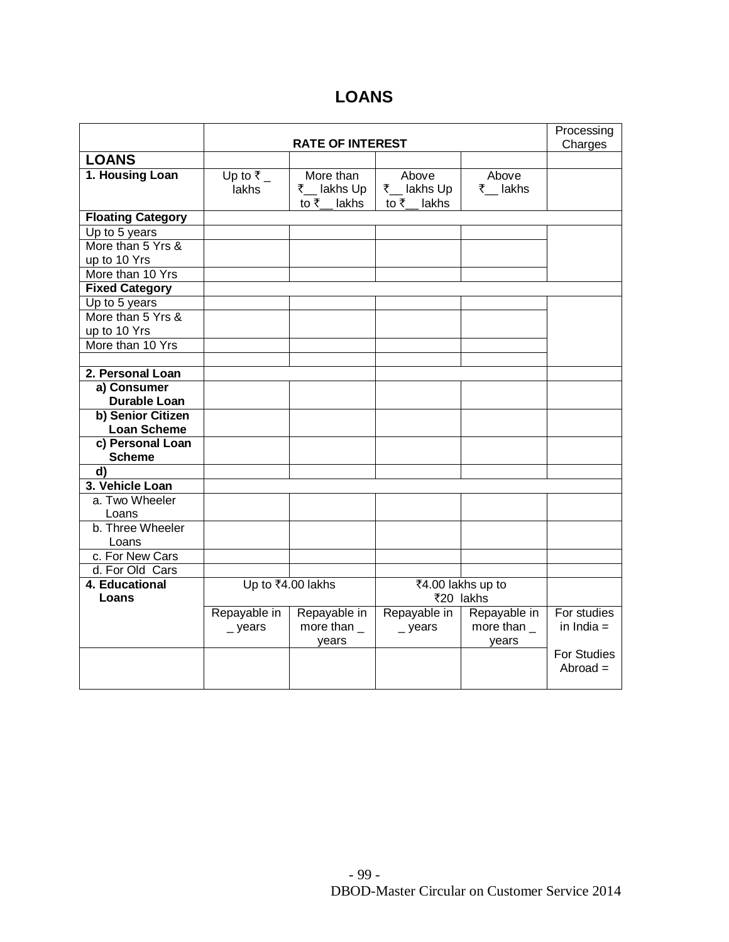## **LOANS**

|                          |                           |                  |                   |                  | Processing   |
|--------------------------|---------------------------|------------------|-------------------|------------------|--------------|
|                          |                           | Charges          |                   |                  |              |
| <b>LOANS</b>             |                           |                  |                   |                  |              |
| 1. Housing Loan          | Up to $\overline{\tau}$ _ | More than        | Above             | Above            |              |
|                          | lakhs                     | ₹ __ lakhs Up    | ₹__ lakhs Up      | ₹ lakhs          |              |
|                          |                           | to ₹_lakhs       | to ₹ lakhs        |                  |              |
| <b>Floating Category</b> |                           |                  |                   |                  |              |
| Up to 5 years            |                           |                  |                   |                  |              |
| More than 5 Yrs &        |                           |                  |                   |                  |              |
| up to 10 Yrs             |                           |                  |                   |                  |              |
| More than 10 Yrs         |                           |                  |                   |                  |              |
| <b>Fixed Category</b>    |                           |                  |                   |                  |              |
| Up to 5 years            |                           |                  |                   |                  |              |
| More than 5 Yrs &        |                           |                  |                   |                  |              |
| up to 10 Yrs             |                           |                  |                   |                  |              |
| More than 10 Yrs         |                           |                  |                   |                  |              |
|                          |                           |                  |                   |                  |              |
| 2. Personal Loan         |                           |                  |                   |                  |              |
| a) Consumer              |                           |                  |                   |                  |              |
| <b>Durable Loan</b>      |                           |                  |                   |                  |              |
| b) Senior Citizen        |                           |                  |                   |                  |              |
| <b>Loan Scheme</b>       |                           |                  |                   |                  |              |
| c) Personal Loan         |                           |                  |                   |                  |              |
| <b>Scheme</b>            |                           |                  |                   |                  |              |
| d)                       |                           |                  |                   |                  |              |
| 3. Vehicle Loan          |                           |                  |                   |                  |              |
| a. Two Wheeler           |                           |                  |                   |                  |              |
| Loans                    |                           |                  |                   |                  |              |
| b. Three Wheeler         |                           |                  |                   |                  |              |
| Loans                    |                           |                  |                   |                  |              |
| c. For New Cars          |                           |                  |                   |                  |              |
| d. For Old Cars          |                           |                  |                   |                  |              |
| 4. Educational           | Up to ₹4.00 lakhs         |                  | ₹4.00 lakhs up to |                  |              |
| Loans                    |                           |                  | ₹20 lakhs         |                  |              |
|                          | Repayable in              | Repayable in     | Repayable in      | Repayable in     | For studies  |
|                          | $_{-}$ years              | more than $_{-}$ | $\_$ years        | more than $_{-}$ | in India $=$ |
|                          |                           | years            |                   | years            |              |
|                          |                           |                  |                   |                  | For Studies  |
|                          |                           |                  |                   |                  | $Abroad =$   |
|                          |                           |                  |                   |                  |              |